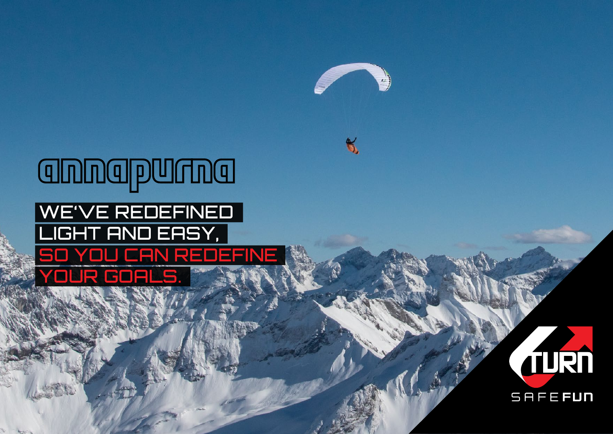

 $\kappa$ 

## annapurna WE'VE REDEFINED LIGHT AND EASY, SO YOU CAN REDEFINE your goals.

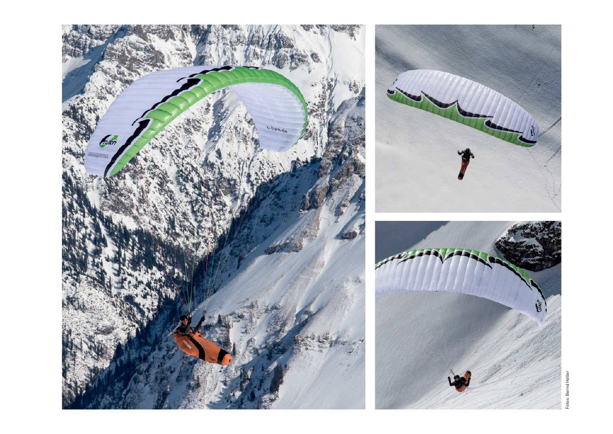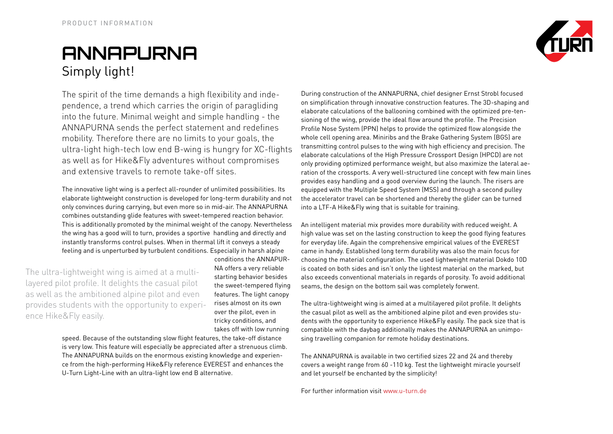## **Annapurna** Simply light!

The spirit of the time demands a high flexibility and independence, a trend which carries the origin of paragliding into the future. Minimal weight and simple handling - the ANNAPURNA sends the perfect statement and redefines mobility. Therefore there are no limits to your goals, the ultra-light high-tech low end B-wing is hungry for XC-flights as well as for Hike&Fly adventures without compromises and extensive travels to remote take-off sites.

The innovative light wing is a perfect all-rounder of unlimited possibilities. Its elaborate lightweight construction is developed for long-term durability and not only convinces during carrying, but even more so in mid-air. The ANNAPURNA combines outstanding glide features with sweet-tempered reaction behavior. This is additionally promoted by the minimal weight of the canopy. Nevertheless the wing has a good will to turn, provides a sportive handling and directly and instantly transforms control pulses. When in thermal lift it conveys a steady feeling and is unperturbed by turbulent conditions. Especially in harsh alpine

The ultra-lightweight wing is aimed at a multilayered pilot profile. It delights the casual pilot as well as the ambitioned alpine pilot and even provides students with the opportunity to experience Hike&Fly easily.

conditions the ANNAPUR-NA offers a very reliable starting behavior besides the sweet-tempered flying features. The light canopy rises almost on its own over the pilot, even in tricky conditions, and takes off with low running

speed. Because of the outstanding slow flight features, the take-off distance is very low. This feature will especially be appreciated after a strenuous climb. The ANNAPURNA builds on the enormous existing knowledge and experience from the high-performing Hike&Fly reference EVEREST and enhances the U-Turn Light-Line with an ultra-light low end B alternative.

During construction of the ANNAPURNA, chief designer Ernst Strobl focused on simplification through innovative construction features. The 3D-shaping and elaborate calculations of the ballooning combined with the optimized pre-tensioning of the wing, provide the ideal flow around the profile. The Precision Profile Nose System (PPN) helps to provide the optimized flow alongside the whole cell opening area. Miniribs and the Brake Gathering System (BGS) are transmitting control pulses to the wing with high efficiency and precision. The elaborate calculations of the High Pressure Crossport Design (HPCD) are not only providing optimized performance weight, but also maximize the lateral aeration of the crossports. A very well-structured line concept with few main lines provides easy handling and a good overview during the launch. The risers are equipped with the Multiple Speed System (MSS) and through a second pulley the accelerator travel can be shortened and thereby the glider can be turned into a LTF-A Hike&Fly wing that is suitable for training.

An intelligent material mix provides more durability with reduced weight. A high value was set on the lasting construction to keep the good flying features for everyday life. Again the comprehensive empirical values of the EVEREST came in handy. Established long term durability was also the main focus for choosing the material configuration. The used lightweight material Dokdo 10D is coated on both sides and isn't only the lightest material on the marked, but also exceeds conventional materials in regards of porosity. To avoid additional seams, the design on the bottom sail was completely forwent.

The ultra-lightweight wing is aimed at a multilayered pilot profile. It delights the casual pilot as well as the ambitioned alpine pilot and even provides students with the opportunity to experience Hike&Fly easily. The pack size that is compatible with the daybag additionally makes the ANNAPURNA an unimposing travelling companion for remote holiday destinations.

The ANNAPURNA is available in two certified sizes 22 and 24 and thereby covers a weight range from 60 -110 kg. Test the lightweight miracle yourself and let yourself be enchanted by the simplicity!

For further information visit www.u-turn.de